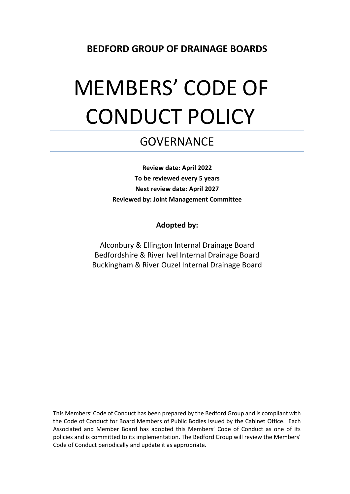# **BEDFORD GROUP OF DRAINAGE BOARDS**

# MEMBERS' CODE OF CONDUCT POLICY

# GOVERNANCE

**Review date: April 2022 To be reviewed every 5 years Next review date: April 2027 Reviewed by: Joint Management Committee**

## **Adopted by:**

Alconbury & Ellington Internal Drainage Board Bedfordshire & River Ivel Internal Drainage Board Buckingham & River Ouzel Internal Drainage Board

This Members' Code of Conduct has been prepared by the Bedford Group and is compliant with the Code of Conduct for Board Members of Public Bodies issued by the Cabinet Office. Each Associated and Member Board has adopted this Members' Code of Conduct as one of its policies and is committed to its implementation. The Bedford Group will review the Members' Code of Conduct periodically and update it as appropriate.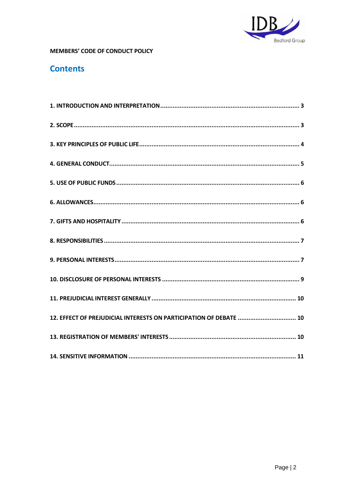

# **Contents**

| 12. EFFECT OF PREJUDICIAL INTERESTS ON PARTICIPATION OF DEBATE  10 |
|--------------------------------------------------------------------|
|                                                                    |
|                                                                    |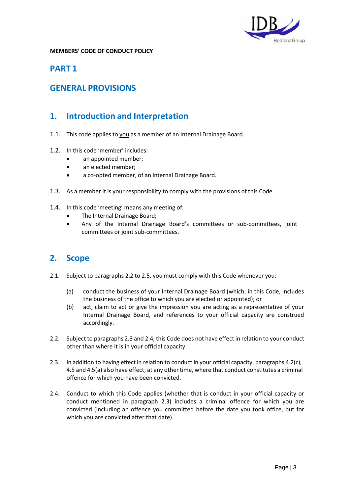

# **PART 1**

# **GENERAL PROVISIONS**

# <span id="page-2-0"></span>**1. Introduction and Interpretation**

- 1.1. This code applies to you as a member of an Internal Drainage Board.
- 1.2. In this code 'member' includes:
	- an appointed member;
	- an elected member;
	- a co-opted member, of an Internal Drainage Board.
- 1.3. As a member it is your responsibility to comply with the provisions of this Code.
- 1.4. In this code 'meeting' means any meeting of:
	- The Internal Drainage Board;
	- Any of the Internal Drainage Board's committees or sub-committees, joint committees or joint sub-committees.

# <span id="page-2-1"></span>**2. Scope**

- 2.1. Subject to paragraphs 2.2 to 2.5, you must comply with this Code whenever you:
	- (a) conduct the business of your Internal Drainage Board (which, in this Code, includes the business of the office to which you are elected or appointed); or
	- (b) act, claim to act or give the impression you are acting as a representative of your Internal Drainage Board, and references to your official capacity are construed accordingly.
- 2.2. Subject to paragraphs 2.3 and 2.4, this Code does not have effect in relation to your conduct other than where it is in your official capacity.
- 2.3. In addition to having effect in relation to conduct in your official capacity, paragraphs 4.2(c), 4.5 and 4.5(a) also have effect, at any other time, where that conduct constitutes a criminal offence for which you have been convicted.
- 2.4. Conduct to which this Code applies (whether that is conduct in your official capacity or conduct mentioned in paragraph 2.3) includes a criminal offence for which you are convicted (including an offence you committed before the date you took office, but for which you are convicted after that date).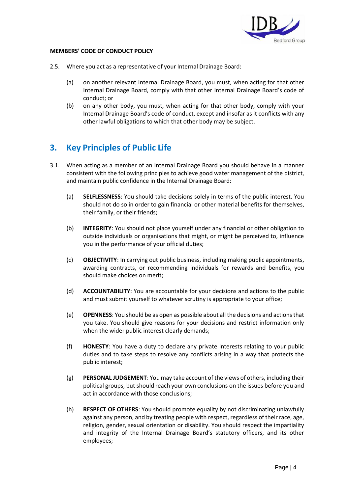

- 2.5. Where you act as a representative of your Internal Drainage Board:
	- (a) on another relevant Internal Drainage Board, you must, when acting for that other Internal Drainage Board, comply with that other Internal Drainage Board's code of conduct; or
	- (b) on any other body, you must, when acting for that other body, comply with your Internal Drainage Board's code of conduct, except and insofar as it conflicts with any other lawful obligations to which that other body may be subject.

# <span id="page-3-0"></span>**3. Key Principles of Public Life**

- 3.1. When acting as a member of an Internal Drainage Board you should behave in a manner consistent with the following principles to achieve good water management of the district, and maintain public confidence in the Internal Drainage Board:
	- (a) **SELFLESSNESS**: You should take decisions solely in terms of the public interest. You should not do so in order to gain financial or other material benefits for themselves, their family, or their friends;
	- (b) **INTEGRITY**: You should not place yourself under any financial or other obligation to outside individuals or organisations that might, or might be perceived to, influence you in the performance of your official duties;
	- (c) **OBJECTIVITY**: In carrying out public business, including making public appointments, awarding contracts, or recommending individuals for rewards and benefits, you should make choices on merit;
	- (d) **ACCOUNTABILITY**: You are accountable for your decisions and actions to the public and must submit yourself to whatever scrutiny is appropriate to your office;
	- (e) **OPENNESS**: You should be as open as possible about all the decisions and actions that you take. You should give reasons for your decisions and restrict information only when the wider public interest clearly demands;
	- (f) **HONESTY**: You have a duty to declare any private interests relating to your public duties and to take steps to resolve any conflicts arising in a way that protects the public interest;
	- (g) **PERSONAL JUDGEMENT**: You may take account of the views of others, including their political groups, but should reach your own conclusions on the issues before you and act in accordance with those conclusions;
	- (h) **RESPECT OF OTHERS**: You should promote equality by not discriminating unlawfully against any person, and by treating people with respect, regardless of their race, age, religion, gender, sexual orientation or disability. You should respect the impartiality and integrity of the Internal Drainage Board's statutory officers, and its other employees;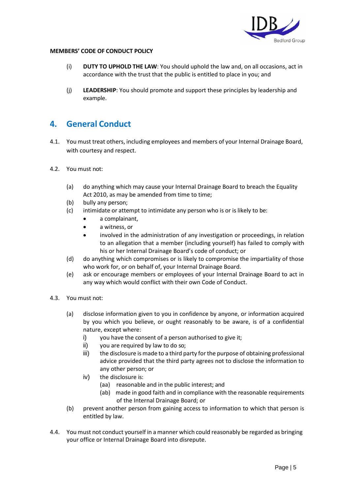

- (i) **DUTY TO UPHOLD THE LAW**: You should uphold the law and, on all occasions, act in accordance with the trust that the public is entitled to place in you; and
- (j) **LEADERSHIP**: You should promote and support these principles by leadership and example.

# <span id="page-4-0"></span>**4. General Conduct**

- 4.1. You must treat others, including employees and members of your Internal Drainage Board, with courtesy and respect.
- 4.2. You must not:
	- (a) do anything which may cause your Internal Drainage Board to breach the Equality Act 2010, as may be amended from time to time;
	- (b) bully any person;
	- (c) intimidate or attempt to intimidate any person who is or is likely to be:
		- a complainant,
		- a witness, or
		- involved in the administration of any investigation or proceedings, in relation to an allegation that a member (including yourself) has failed to comply with his or her Internal Drainage Board's code of conduct; or
	- (d) do anything which compromises or is likely to compromise the impartiality of those who work for, or on behalf of, your Internal Drainage Board.
	- (e) ask or encourage members or employees of your Internal Drainage Board to act in any way which would conflict with their own Code of Conduct.
- 4.3. You must not:
	- (a) disclose information given to you in confidence by anyone, or information acquired by you which you believe, or ought reasonably to be aware, is of a confidential nature, except where:
		- i) you have the consent of a person authorised to give it;
		- ii) you are required by law to do so;
		- iii) the disclosure is made to a third party for the purpose of obtaining professional advice provided that the third party agrees not to disclose the information to any other person; or
		- iv) the disclosure is:
			- (aa) reasonable and in the public interest; and
			- (ab) made in good faith and in compliance with the reasonable requirements of the Internal Drainage Board; or
	- (b) prevent another person from gaining access to information to which that person is entitled by law.
- 4.4. You must not conduct yourself in a manner which could reasonably be regarded as bringing your office or Internal Drainage Board into disrepute.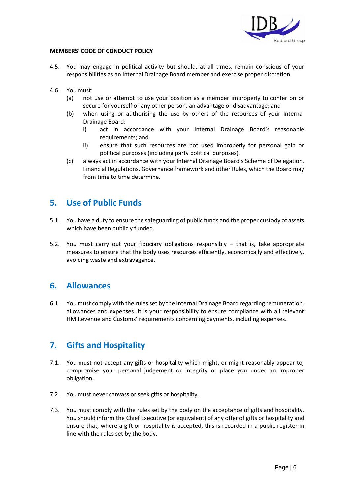

- 4.5. You may engage in political activity but should, at all times, remain conscious of your responsibilities as an Internal Drainage Board member and exercise proper discretion.
- 4.6. You must:
	- (a) not use or attempt to use your position as a member improperly to confer on or secure for yourself or any other person, an advantage or disadvantage; and
	- (b) when using or authorising the use by others of the resources of your Internal Drainage Board:
		- i) act in accordance with your Internal Drainage Board's reasonable requirements; and
		- ii) ensure that such resources are not used improperly for personal gain or political purposes (including party political purposes).
	- (c) always act in accordance with your Internal Drainage Board's Scheme of Delegation, Financial Regulations, Governance framework and other Rules, which the Board may from time to time determine.

# <span id="page-5-0"></span>**5. Use of Public Funds**

- 5.1. You have a duty to ensure the safeguarding of public funds and the proper custody of assets which have been publicly funded.
- 5.2. You must carry out your fiduciary obligations responsibly that is, take appropriate measures to ensure that the body uses resources efficiently, economically and effectively, avoiding waste and extravagance.

## <span id="page-5-1"></span>**6. Allowances**

6.1. You must comply with the rules set by the Internal Drainage Board regarding remuneration, allowances and expenses. It is your responsibility to ensure compliance with all relevant HM Revenue and Customs' requirements concerning payments, including expenses.

# <span id="page-5-2"></span>**7. Gifts and Hospitality**

- 7.1. You must not accept any gifts or hospitality which might, or might reasonably appear to, compromise your personal judgement or integrity or place you under an improper obligation.
- 7.2. You must never canvass or seek gifts or hospitality.
- 7.3. You must comply with the rules set by the body on the acceptance of gifts and hospitality. You should inform the Chief Executive (or equivalent) of any offer of gifts or hospitality and ensure that, where a gift or hospitality is accepted, this is recorded in a public register in line with the rules set by the body.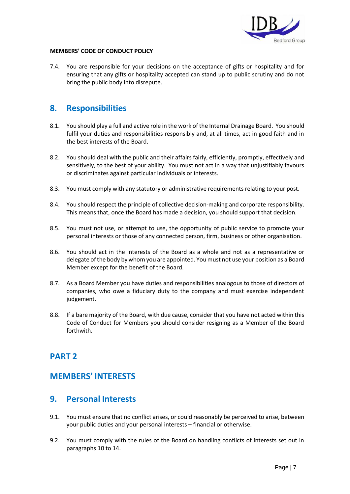

7.4. You are responsible for your decisions on the acceptance of gifts or hospitality and for ensuring that any gifts or hospitality accepted can stand up to public scrutiny and do not bring the public body into disrepute.

# <span id="page-6-0"></span>**8. Responsibilities**

- 8.1. You should play a full and active role in the work of the Internal Drainage Board. You should fulfil your duties and responsibilities responsibly and, at all times, act in good faith and in the best interests of the Board.
- 8.2. You should deal with the public and their affairs fairly, efficiently, promptly, effectively and sensitively, to the best of your ability. You must not act in a way that unjustifiably favours or discriminates against particular individuals or interests.
- 8.3. You must comply with any statutory or administrative requirements relating to your post.
- 8.4. You should respect the principle of collective decision-making and corporate responsibility. This means that, once the Board has made a decision, you should support that decision.
- 8.5. You must not use, or attempt to use, the opportunity of public service to promote your personal interests or those of any connected person, firm, business or other organisation.
- 8.6. You should act in the interests of the Board as a whole and not as a representative or delegate of the body by whom you are appointed. You must not use your position as a Board Member except for the benefit of the Board.
- 8.7. As a Board Member you have duties and responsibilities analogous to those of directors of companies, who owe a fiduciary duty to the company and must exercise independent judgement.
- 8.8. If a bare majority of the Board, with due cause, consider that you have not acted within this Code of Conduct for Members you should consider resigning as a Member of the Board forthwith.

# **PART 2**

# **MEMBERS' INTERESTS**

# <span id="page-6-1"></span>**9. Personal Interests**

- 9.1. You must ensure that no conflict arises, or could reasonably be perceived to arise, between your public duties and your personal interests – financial or otherwise.
- 9.2. You must comply with the rules of the Board on handling conflicts of interests set out in paragraphs 10 to 14.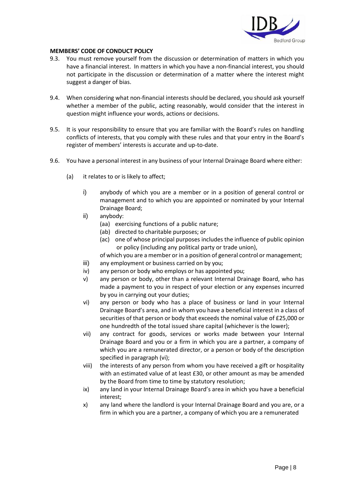

- 9.3. You must remove yourself from the discussion or determination of matters in which you have a financial interest. In matters in which you have a non-financial interest, you should not participate in the discussion or determination of a matter where the interest might suggest a danger of bias.
- 9.4. When considering what non-financial interests should be declared, you should ask yourself whether a member of the public, acting reasonably, would consider that the interest in question might influence your words, actions or decisions.
- 9.5. It is your responsibility to ensure that you are familiar with the Board's rules on handling conflicts of interests, that you comply with these rules and that your entry in the Board's register of members' interests is accurate and up-to-date.
- 9.6. You have a personal interest in any business of your Internal Drainage Board where either:
	- (a) it relates to or is likely to affect;
		- i) anybody of which you are a member or in a position of general control or management and to which you are appointed or nominated by your Internal Drainage Board;
		- ii) anybody:
			- (aa) exercising functions of a public nature;
			- (ab) directed to charitable purposes; or
			- (ac) one of whose principal purposes includes the influence of public opinion or policy (including any political party or trade union),
			- of which you are a member or in a position of general control or management;
		- iii) any employment or business carried on by you;
		- iv) any person or body who employs or has appointed you;
		- v) any person or body, other than a relevant Internal Drainage Board, who has made a payment to you in respect of your election or any expenses incurred by you in carrying out your duties;
		- vi) any person or body who has a place of business or land in your Internal Drainage Board's area, and in whom you have a beneficial interest in a class of securities of that person or body that exceeds the nominal value of £25,000 or one hundredth of the total issued share capital (whichever is the lower);
		- vii) any contract for goods, services or works made between your Internal Drainage Board and you or a firm in which you are a partner, a company of which you are a remunerated director, or a person or body of the description specified in paragraph (vi);
		- viii) the interests of any person from whom you have received a gift or hospitality with an estimated value of at least £30, or other amount as may be amended by the Board from time to time by statutory resolution;
		- ix) any land in your Internal Drainage Board's area in which you have a beneficial interest;
		- x) any land where the landlord is your Internal Drainage Board and you are, or a firm in which you are a partner, a company of which you are a remunerated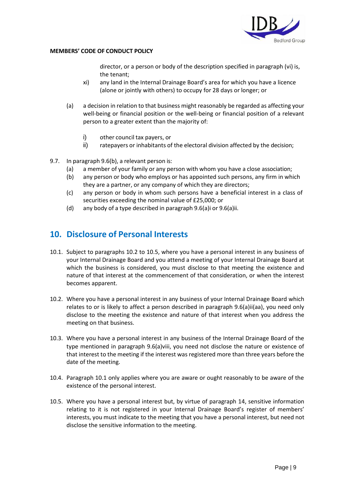

director, or a person or body of the description specified in paragraph (vi) is, the tenant;

- xi) any land in the Internal Drainage Board's area for which you have a licence (alone or jointly with others) to occupy for 28 days or longer; or
- (a) a decision in relation to that business might reasonably be regarded as affecting your well-being or financial position or the well-being or financial position of a relevant person to a greater extent than the majority of:
	- i) other council tax payers, or
	- ii) ratepayers or inhabitants of the electoral division affected by the decision;
- 9.7. In paragraph 9.6(b), a relevant person is:
	- (a) a member of your family or any person with whom you have a close association;
	- (b) any person or body who employs or has appointed such persons, any firm in which they are a partner, or any company of which they are directors;
	- (c) any person or body in whom such persons have a beneficial interest in a class of securities exceeding the nominal value of £25,000; or
	- (d) any body of a type described in paragraph 9.6(a)i or 9.6(a)ii.

# <span id="page-8-0"></span>**10. Disclosure of Personal Interests**

- 10.1. Subject to paragraphs 10.2 to 10.5, where you have a personal interest in any business of your Internal Drainage Board and you attend a meeting of your Internal Drainage Board at which the business is considered, you must disclose to that meeting the existence and nature of that interest at the commencement of that consideration, or when the interest becomes apparent.
- 10.2. Where you have a personal interest in any business of your Internal Drainage Board which relates to or is likely to affect a person described in paragraph 9.6(a)ii(aa), you need only disclose to the meeting the existence and nature of that interest when you address the meeting on that business.
- 10.3. Where you have a personal interest in any business of the Internal Drainage Board of the type mentioned in paragraph 9.6(a)viii, you need not disclose the nature or existence of that interest to the meeting if the interest was registered more than three years before the date of the meeting.
- 10.4. Paragraph 10.1 only applies where you are aware or ought reasonably to be aware of the existence of the personal interest.
- 10.5. Where you have a personal interest but, by virtue of paragraph 14, sensitive information relating to it is not registered in your Internal Drainage Board's register of members' interests, you must indicate to the meeting that you have a personal interest, but need not disclose the sensitive information to the meeting.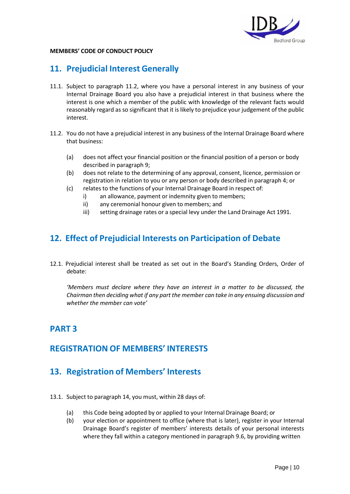

# <span id="page-9-0"></span>**11. Prejudicial Interest Generally**

- 11.1. Subject to paragraph 11.2, where you have a personal interest in any business of your Internal Drainage Board you also have a prejudicial interest in that business where the interest is one which a member of the public with knowledge of the relevant facts would reasonably regard as so significant that it is likely to prejudice your judgement of the public interest.
- 11.2. You do not have a prejudicial interest in any business of the Internal Drainage Board where that business:
	- (a) does not affect your financial position or the financial position of a person or body described in paragraph 9;
	- (b) does not relate to the determining of any approval, consent, licence, permission or registration in relation to you or any person or body described in paragraph 4; or
	- (c) relates to the functions of your Internal Drainage Board in respect of:
		- i) an allowance, payment or indemnity given to members;
		- ii) any ceremonial honour given to members; and
		- iii) setting drainage rates or a special levy under the Land Drainage Act 1991.

# <span id="page-9-1"></span>**12. Effect of Prejudicial Interests on Participation of Debate**

12.1. Prejudicial interest shall be treated as set out in the Board's Standing Orders, Order of debate:

*'Members must declare where they have an interest in a matter to be discussed, the Chairman then deciding what if any part the member can take in any ensuing discussion and whether the member can vote'*

# **PART 3**

# **REGISTRATION OF MEMBERS' INTERESTS**

# <span id="page-9-2"></span>**13. Registration of Members' Interests**

- 13.1. Subject to paragraph 14, you must, within 28 days of:
	- (a) this Code being adopted by or applied to your Internal Drainage Board; or
	- (b) your election or appointment to office (where that is later), register in your Internal Drainage Board's register of members' interests details of your personal interests where they fall within a category mentioned in paragraph 9.6, by providing written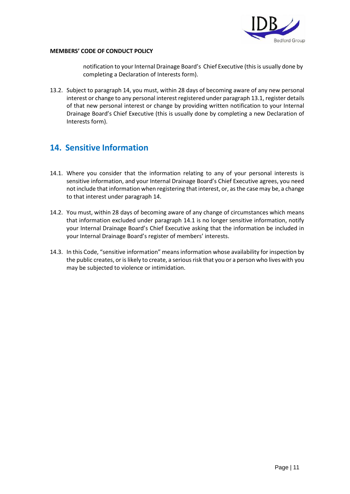

notification to your Internal Drainage Board's Chief Executive (thisis usually done by completing a Declaration of Interests form).

13.2. Subject to paragraph 14, you must, within 28 days of becoming aware of any new personal interest or change to any personal interest registered under paragraph 13.1, register details of that new personal interest or change by providing written notification to your Internal Drainage Board's Chief Executive (this is usually done by completing a new Declaration of Interests form).

# <span id="page-10-0"></span>**14. Sensitive Information**

- 14.1. Where you consider that the information relating to any of your personal interests is sensitive information, and your Internal Drainage Board's Chief Executive agrees, you need not include that information when registering that interest, or, asthe case may be, a change to that interest under paragraph 14.
- 14.2. You must, within 28 days of becoming aware of any change of circumstances which means that information excluded under paragraph 14.1 is no longer sensitive information, notify your Internal Drainage Board's Chief Executive asking that the information be included in your Internal Drainage Board's register of members' interests.
- 14.3. In this Code, "sensitive information" means information whose availability for inspection by the public creates, or is likely to create, a serious risk that you or a person who lives with you may be subjected to violence or intimidation.